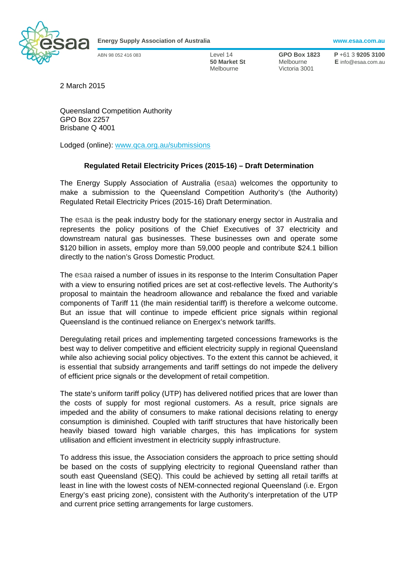

**Energy Supply Association of Australia www.esaa.com.au** 

Melbourne Victoria 3001

ABN 98 052 416 083 Level 14 **GPO Box 1823 P** +61 3 **9205 3100 50 Market St** Melbourne **E** info@esaa.com.au

2 March 2015

Queensland Competition Authority GPO Box 2257 Brisbane Q 4001

Lodged (online): www.qca.org.au/submissions

## **Regulated Retail Electricity Prices (2015-16) – Draft Determination**

The Energy Supply Association of Australia (esaa) welcomes the opportunity to make a submission to the Queensland Competition Authority's (the Authority) Regulated Retail Electricity Prices (2015-16) Draft Determination.

The esaa is the peak industry body for the stationary energy sector in Australia and represents the policy positions of the Chief Executives of 37 electricity and downstream natural gas businesses. These businesses own and operate some \$120 billion in assets, employ more than 59,000 people and contribute \$24.1 billion directly to the nation's Gross Domestic Product.

The esaa raised a number of issues in its response to the Interim Consultation Paper with a view to ensuring notified prices are set at cost-reflective levels. The Authority's proposal to maintain the headroom allowance and rebalance the fixed and variable components of Tariff 11 (the main residential tariff) is therefore a welcome outcome. But an issue that will continue to impede efficient price signals within regional Queensland is the continued reliance on Energex's network tariffs.

Deregulating retail prices and implementing targeted concessions frameworks is the best way to deliver competitive and efficient electricity supply in regional Queensland while also achieving social policy objectives. To the extent this cannot be achieved, it is essential that subsidy arrangements and tariff settings do not impede the delivery of efficient price signals or the development of retail competition.

The state's uniform tariff policy (UTP) has delivered notified prices that are lower than the costs of supply for most regional customers. As a result, price signals are impeded and the ability of consumers to make rational decisions relating to energy consumption is diminished. Coupled with tariff structures that have historically been heavily biased toward high variable charges, this has implications for system utilisation and efficient investment in electricity supply infrastructure.

To address this issue, the Association considers the approach to price setting should be based on the costs of supplying electricity to regional Queensland rather than south east Queensland (SEQ). This could be achieved by setting all retail tariffs at least in line with the lowest costs of NEM-connected regional Queensland (i.e. Ergon Energy's east pricing zone), consistent with the Authority's interpretation of the UTP and current price setting arrangements for large customers.